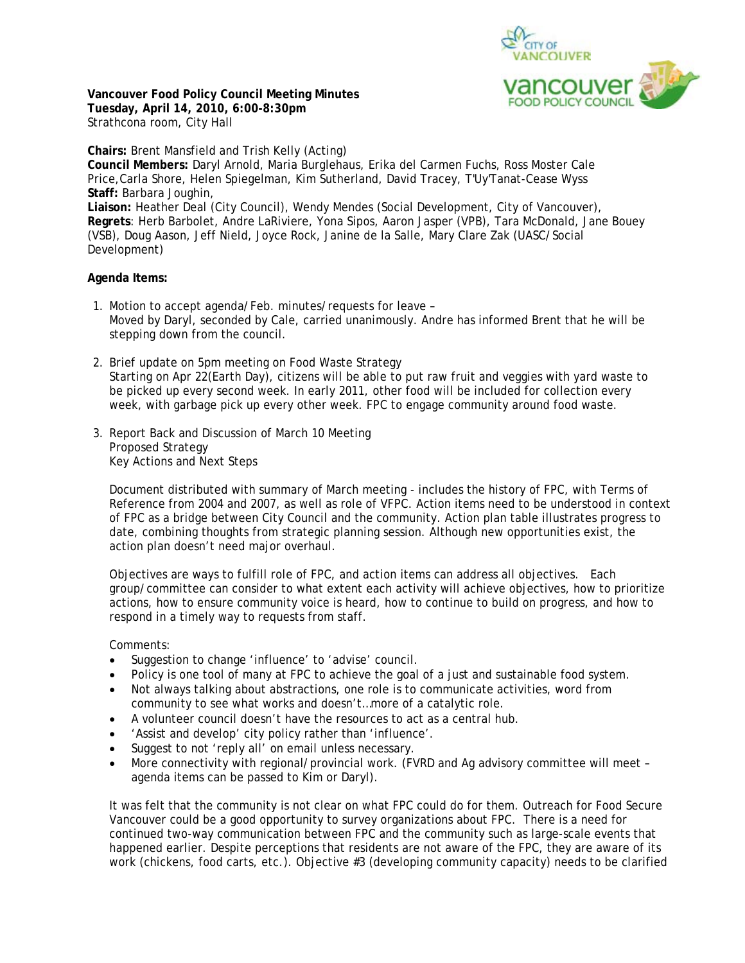

**Vancouver Food Policy Council Meeting Minutes Tuesday, April 14, 2010, 6:00-8:30pm**  Strathcona room, City Hall

**Chairs:** Brent Mansfield and Trish Kelly (Acting) **Council Members:** Daryl Arnold, Maria Burglehaus, Erika del Carmen Fuchs, Ross Moster Cale Price,Carla Shore, Helen Spiegelman, Kim Sutherland, David Tracey, T'Uy'Tanat-Cease Wyss **Staff:** Barbara Joughin, **Liaison:** Heather Deal (City Council), Wendy Mendes (Social Development, City of Vancouver), **Regrets**: Herb Barbolet, Andre LaRiviere, Yona Sipos, Aaron Jasper (VPB), Tara McDonald, Jane Bouey (VSB), Doug Aason, Jeff Nield, Joyce Rock, Janine de la Salle, Mary Clare Zak (UASC/Social Development)

## **Agenda Items:**

- 1. Motion to accept agenda/Feb. minutes/requests for leave Moved by Daryl, seconded by Cale, carried unanimously. Andre has informed Brent that he will be stepping down from the council.
- 2. Brief update on 5pm meeting on Food Waste Strategy Starting on Apr 22(Earth Day), citizens will be able to put raw fruit and veggies with yard waste to be picked up every second week. In early 2011, other food will be included for collection every week, with garbage pick up every other week. FPC to engage community around food waste.
- 3. Report Back and Discussion of March 10 Meeting Proposed Strategy Key Actions and Next Steps

 Document distributed with summary of March meeting - includes the history of FPC, with Terms of Reference from 2004 and 2007, as well as role of VFPC. Action items need to be understood in context of FPC as a bridge between City Council and the community. Action plan table illustrates progress to date, combining thoughts from strategic planning session. Although new opportunities exist, the action plan doesn't need major overhaul.

Objectives are ways to fulfill role of FPC, and action items can address all objectives. Each group/committee can consider to what extent each activity will achieve objectives, how to prioritize actions, how to ensure community voice is heard, how to continue to build on progress, and how to respond in a timely way to requests from staff.

Comments:

- Suggestion to change 'influence' to 'advise' council.
- Policy is one tool of many at FPC to achieve the goal of a just and sustainable food system.
- Not always talking about abstractions, one role is to communicate activities, word from community to see what works and doesn't…more of a catalytic role.
- A volunteer council doesn't have the resources to act as a central hub.
- 'Assist and develop' city policy rather than 'influence'.
- Suggest to not 'reply all' on email unless necessary.
- More connectivity with regional/provincial work. (FVRD and Ag advisory committee will meet agenda items can be passed to Kim or Daryl).

It was felt that the community is not clear on what FPC could do for them. Outreach for Food Secure Vancouver could be a good opportunity to survey organizations about FPC. There is a need for continued two-way communication between FPC and the community such as large-scale events that happened earlier. Despite perceptions that residents are not aware of the FPC, they are aware of its work (chickens, food carts, etc.). Objective #3 (developing community capacity) needs to be clarified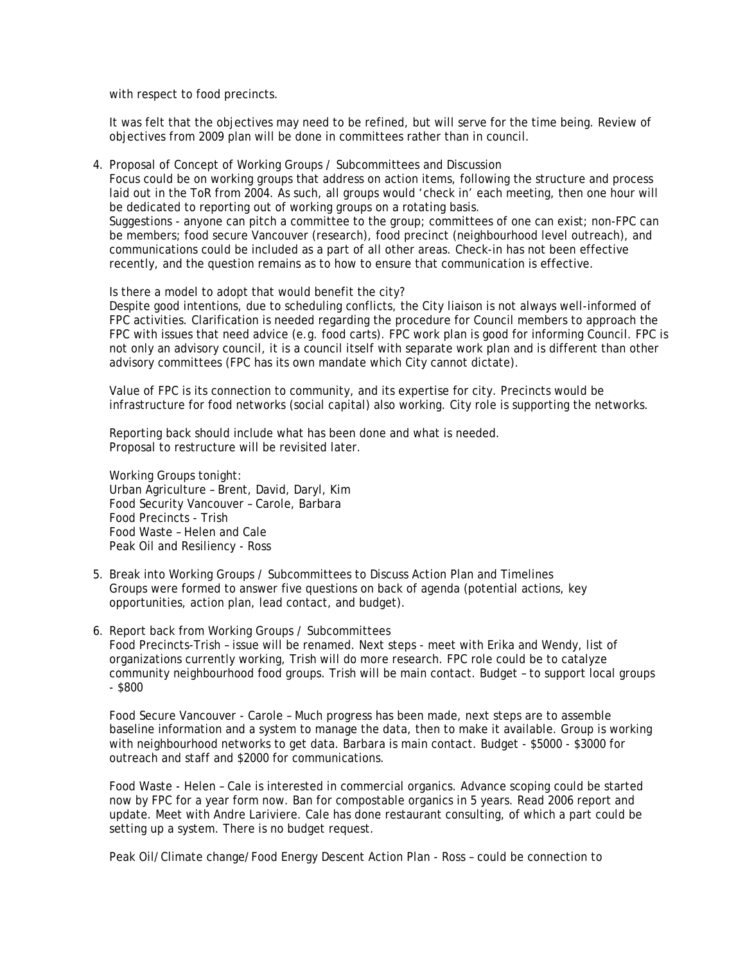with respect to food precincts.

 It was felt that the objectives may need to be refined, but will serve for the time being. Review of objectives from 2009 plan will be done in committees rather than in council.

4. Proposal of Concept of Working Groups / Subcommittees and Discussion

Focus could be on working groups that address on action items, following the structure and process laid out in the ToR from 2004. As such, all groups would 'check in' each meeting, then one hour will be dedicated to reporting out of working groups on a rotating basis.

Suggestions - anyone can pitch a committee to the group; committees of one can exist; non-FPC can be members; food secure Vancouver (research), food precinct (neighbourhood level outreach), and communications could be included as a part of all other areas. Check-in has not been effective recently, and the question remains as to how to ensure that communication is effective.

Is there a model to adopt that would benefit the city?

Despite good intentions, due to scheduling conflicts, the City liaison is not always well-informed of FPC activities. Clarification is needed regarding the procedure for Council members to approach the FPC with issues that need advice (e.g. food carts). FPC work plan is good for informing Council. FPC is not only an advisory council, it is a council itself with separate work plan and is different than other advisory committees (FPC has its own mandate which City cannot dictate).

Value of FPC is its connection to community, and its expertise for city. Precincts would be infrastructure for food networks (social capital) also working. City role is supporting the networks.

Reporting back should include what has been done and what is needed. Proposal to restructure will be revisited later.

Working Groups tonight: Urban Agriculture – Brent, David, Daryl, Kim Food Security Vancouver – Carole, Barbara Food Precincts - Trish Food Waste – Helen and Cale Peak Oil and Resiliency - Ross

- 5. Break into Working Groups / Subcommittees to Discuss Action Plan and Timelines Groups were formed to answer five questions on back of agenda (potential actions, key opportunities, action plan, lead contact, and budget).
- 6. Report back from Working Groups / Subcommittees Food Precincts-Trish – issue will be renamed. Next steps - meet with Erika and Wendy, list of organizations currently working, Trish will do more research. FPC role could be to catalyze community neighbourhood food groups. Trish will be main contact. Budget – to support local groups  $-$  \$800

Food Secure Vancouver - Carole – Much progress has been made, next steps are to assemble baseline information and a system to manage the data, then to make it available. Group is working with neighbourhood networks to get data. Barbara is main contact. Budget - \$5000 - \$3000 for outreach and staff and \$2000 for communications.

Food Waste - Helen – Cale is interested in commercial organics. Advance scoping could be started now by FPC for a year form now. Ban for compostable organics in 5 years. Read 2006 report and update. Meet with Andre Lariviere. Cale has done restaurant consulting, of which a part could be setting up a system. There is no budget request.

Peak Oil/Climate change/Food Energy Descent Action Plan - Ross – could be connection to